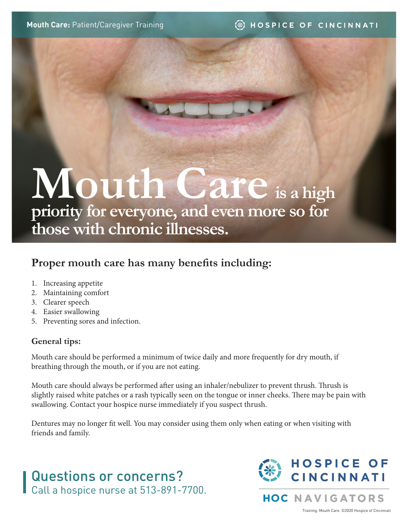# **Mouth Care is a high priority for everyone, and even more so for those with chronic illnesses.**

## **Proper mouth care has many benefits including:**

- 1. Increasing appetite
- 2. Maintaining comfort
- 3. Clearer speech
- 4. Easier swallowing
- 5. Preventing sores and infection.

#### **General tips:**

Mouth care should be performed a minimum of twice daily and more frequently for dry mouth, if breathing through the mouth, or if you are not eating.

Mouth care should always be performed after using an inhaler/nebulizer to prevent thrush. Thrush is slightly raised white patches or a rash typically seen on the tongue or inner cheeks. There may be pain with swallowing. Contact your hospice nurse immediately if you suspect thrush.

Dentures may no longer fit well. You may consider using them only when eating or when visiting with friends and family.

# Questions or concerns? Call a hospice nurse at 513-891-7700.



**HOC NAVIGATORS** 

Training: Mouth Care. ©2020 Hospice of Cincinnati